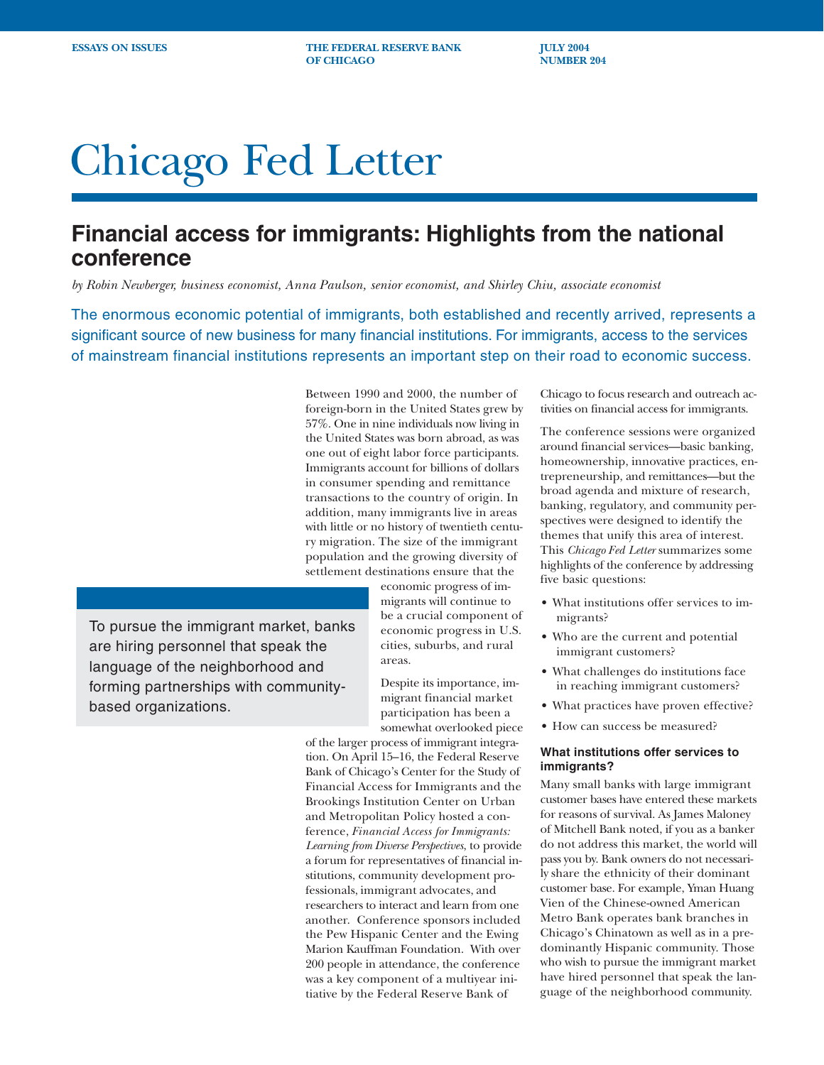**ESSAYS ON ISSUES THE FEDERAL RESERVE BANK THE FULY 2004 OF CHICAGO NUMBER 204** 

# Chicago Fed Letter

# **Financial access for immigrants: Highlights from the national conference**

*by Robin Newberger, business economist, Anna Paulson, senior economist, and Shirley Chiu, associate economist*

The enormous economic potential of immigrants, both established and recently arrived, represents a significant source of new business for many financial institutions. For immigrants, access to the services of mainstream financial institutions represents an important step on their road to economic success.

> Between 1990 and 2000, the number of foreign-born in the United States grew by 57%. One in nine individuals now living in the United States was born abroad, as was one out of eight labor force participants. Immigrants account for billions of dollars in consumer spending and remittance transactions to the country of origin. In addition, many immigrants live in areas with little or no history of twentieth century migration. The size of the immigrant population and the growing diversity of settlement destinations ensure that the

To pursue the immigrant market, banks are hiring personnel that speak the language of the neighborhood and forming partnerships with communitybased organizations.

economic progress of immigrants will continue to be a crucial component of economic progress in U.S. cities, suburbs, and rural areas.

Despite its importance, immigrant financial market participation has been a somewhat overlooked piece

of the larger process of immigrant integration. On April 15–16, the Federal Reserve Bank of Chicago's Center for the Study of Financial Access for Immigrants and the Brookings Institution Center on Urban and Metropolitan Policy hosted a conference, *Financial Access for Immigrants: Learning from Diverse Perspectives*, to provide a forum for representatives of financial institutions, community development professionals, immigrant advocates, and researchers to interact and learn from one another. Conference sponsors included the Pew Hispanic Center and the Ewing Marion Kauffman Foundation. With over 200 people in attendance, the conference was a key component of a multiyear initiative by the Federal Reserve Bank of

Chicago to focus research and outreach activities on financial access for immigrants.

The conference sessions were organized around financial services—basic banking, homeownership, innovative practices, entrepreneurship, and remittances—but the broad agenda and mixture of research, banking, regulatory, and community perspectives were designed to identify the themes that unify this area of interest. This *Chicago Fed Letter* summarizes some highlights of the conference by addressing five basic questions:

- *•* What institutions offer services to immigrants?
- *•* Who are the current and potential immigrant customers?
- *•* What challenges do institutions face in reaching immigrant customers?
- *•* What practices have proven effective?
- *•* How can success be measured?

### **What institutions offer services to immigrants?**

Many small banks with large immigrant customer bases have entered these markets for reasons of survival. As James Maloney of Mitchell Bank noted, if you as a banker do not address this market, the world will pass you by. Bank owners do not necessarily share the ethnicity of their dominant customer base. For example, Yman Huang Vien of the Chinese-owned American Metro Bank operates bank branches in Chicago's Chinatown as well as in a predominantly Hispanic community. Those who wish to pursue the immigrant market have hired personnel that speak the language of the neighborhood community.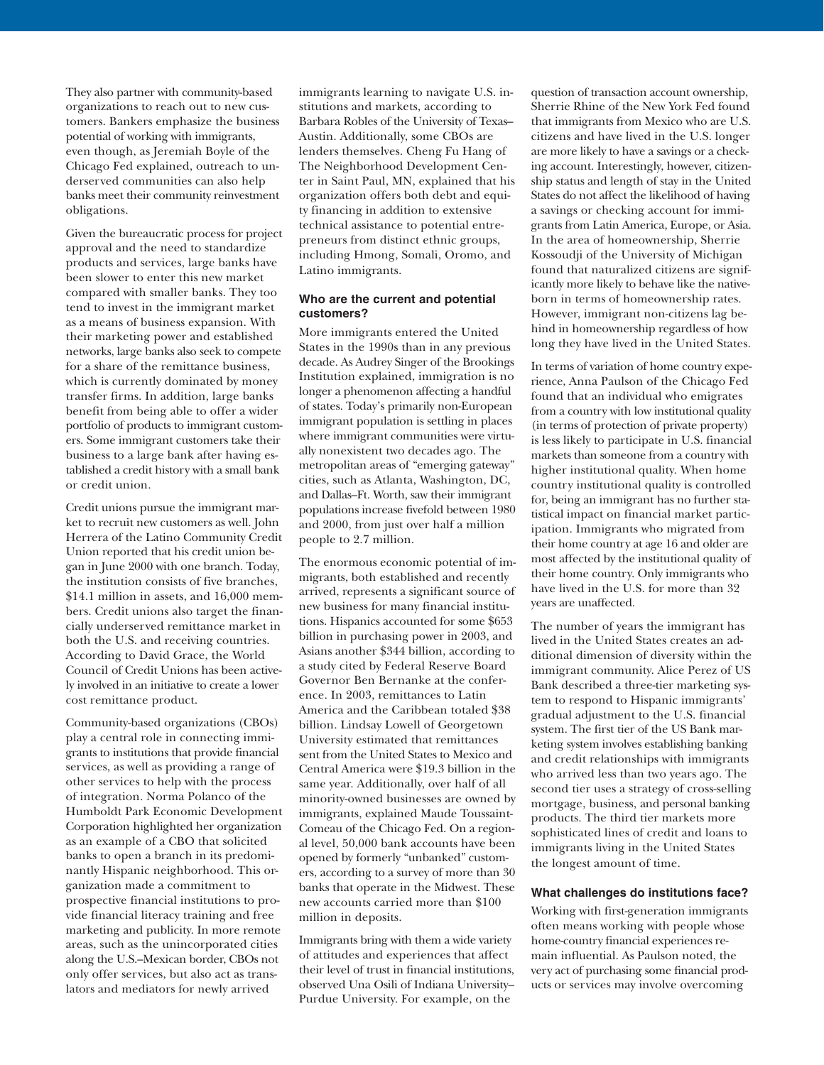They also partner with community-based organizations to reach out to new customers. Bankers emphasize the business potential of working with immigrants, even though, as Jeremiah Boyle of the Chicago Fed explained, outreach to underserved communities can also help banks meet their community reinvestment obligations.

Given the bureaucratic process for project approval and the need to standardize products and services, large banks have been slower to enter this new market compared with smaller banks. They too tend to invest in the immigrant market as a means of business expansion. With their marketing power and established networks, large banks also seek to compete for a share of the remittance business, which is currently dominated by money transfer firms. In addition, large banks benefit from being able to offer a wider portfolio of products to immigrant customers. Some immigrant customers take their business to a large bank after having established a credit history with a small bank or credit union.

Credit unions pursue the immigrant market to recruit new customers as well. John Herrera of the Latino Community Credit Union reported that his credit union began in June 2000 with one branch. Today, the institution consists of five branches, \$14.1 million in assets, and 16,000 members. Credit unions also target the financially underserved remittance market in both the U.S. and receiving countries. According to David Grace, the World Council of Credit Unions has been actively involved in an initiative to create a lower cost remittance product.

Community-based organizations (CBOs) play a central role in connecting immigrants to institutions that provide financial services, as well as providing a range of other services to help with the process of integration. Norma Polanco of the Humboldt Park Economic Development Corporation highlighted her organization as an example of a CBO that solicited banks to open a branch in its predominantly Hispanic neighborhood. This organization made a commitment to prospective financial institutions to provide financial literacy training and free marketing and publicity. In more remote areas, such as the unincorporated cities along the U.S.–Mexican border, CBOs not only offer services, but also act as translators and mediators for newly arrived

immigrants learning to navigate U.S. institutions and markets, according to Barbara Robles of the University of Texas– Austin. Additionally, some CBOs are lenders themselves. Cheng Fu Hang of The Neighborhood Development Center in Saint Paul, MN, explained that his organization offers both debt and equity financing in addition to extensive technical assistance to potential entrepreneurs from distinct ethnic groups, including Hmong, Somali, Oromo, and Latino immigrants.

## **Who are the current and potential customers?**

More immigrants entered the United States in the 1990s than in any previous decade. As Audrey Singer of the Brookings Institution explained, immigration is no longer a phenomenon affecting a handful of states. Today's primarily non-European immigrant population is settling in places where immigrant communities were virtually nonexistent two decades ago. The metropolitan areas of "emerging gateway" cities, such as Atlanta, Washington, DC, and Dallas–Ft. Worth, saw their immigrant populations increase fivefold between 1980 and 2000, from just over half a million people to 2.7 million.

The enormous economic potential of immigrants, both established and recently arrived, represents a significant source of new business for many financial institutions. Hispanics accounted for some \$653 billion in purchasing power in 2003, and Asians another \$344 billion, according to a study cited by Federal Reserve Board Governor Ben Bernanke at the conference. In 2003, remittances to Latin America and the Caribbean totaled \$38 billion. Lindsay Lowell of Georgetown University estimated that remittances sent from the United States to Mexico and Central America were \$19.3 billion in the same year. Additionally, over half of all minority-owned businesses are owned by immigrants, explained Maude Toussaint-Comeau of the Chicago Fed. On a regional level, 50,000 bank accounts have been opened by formerly "unbanked" customers, according to a survey of more than 30 banks that operate in the Midwest. These new accounts carried more than \$100 million in deposits.

Immigrants bring with them a wide variety of attitudes and experiences that affect their level of trust in financial institutions, observed Una Osili of Indiana University– Purdue University. For example, on the

question of transaction account ownership, Sherrie Rhine of the New York Fed found that immigrants from Mexico who are U.S. citizens and have lived in the U.S. longer are more likely to have a savings or a checking account. Interestingly, however, citizenship status and length of stay in the United States do not affect the likelihood of having a savings or checking account for immigrants from Latin America, Europe, or Asia. In the area of homeownership, Sherrie Kossoudji of the University of Michigan found that naturalized citizens are significantly more likely to behave like the nativeborn in terms of homeownership rates. However, immigrant non-citizens lag behind in homeownership regardless of how long they have lived in the United States.

In terms of variation of home country experience, Anna Paulson of the Chicago Fed found that an individual who emigrates from a country with low institutional quality (in terms of protection of private property) is less likely to participate in U.S. financial markets than someone from a country with higher institutional quality. When home country institutional quality is controlled for, being an immigrant has no further statistical impact on financial market participation. Immigrants who migrated from their home country at age 16 and older are most affected by the institutional quality of their home country. Only immigrants who have lived in the U.S. for more than 32 years are unaffected.

The number of years the immigrant has lived in the United States creates an additional dimension of diversity within the immigrant community. Alice Perez of US Bank described a three-tier marketing system to respond to Hispanic immigrants' gradual adjustment to the U.S. financial system. The first tier of the US Bank marketing system involves establishing banking and credit relationships with immigrants who arrived less than two years ago. The second tier uses a strategy of cross-selling mortgage, business, and personal banking products. The third tier markets more sophisticated lines of credit and loans to immigrants living in the United States the longest amount of time.

#### **What challenges do institutions face?**

Working with first-generation immigrants often means working with people whose home-country financial experiences remain influential. As Paulson noted, the very act of purchasing some financial products or services may involve overcoming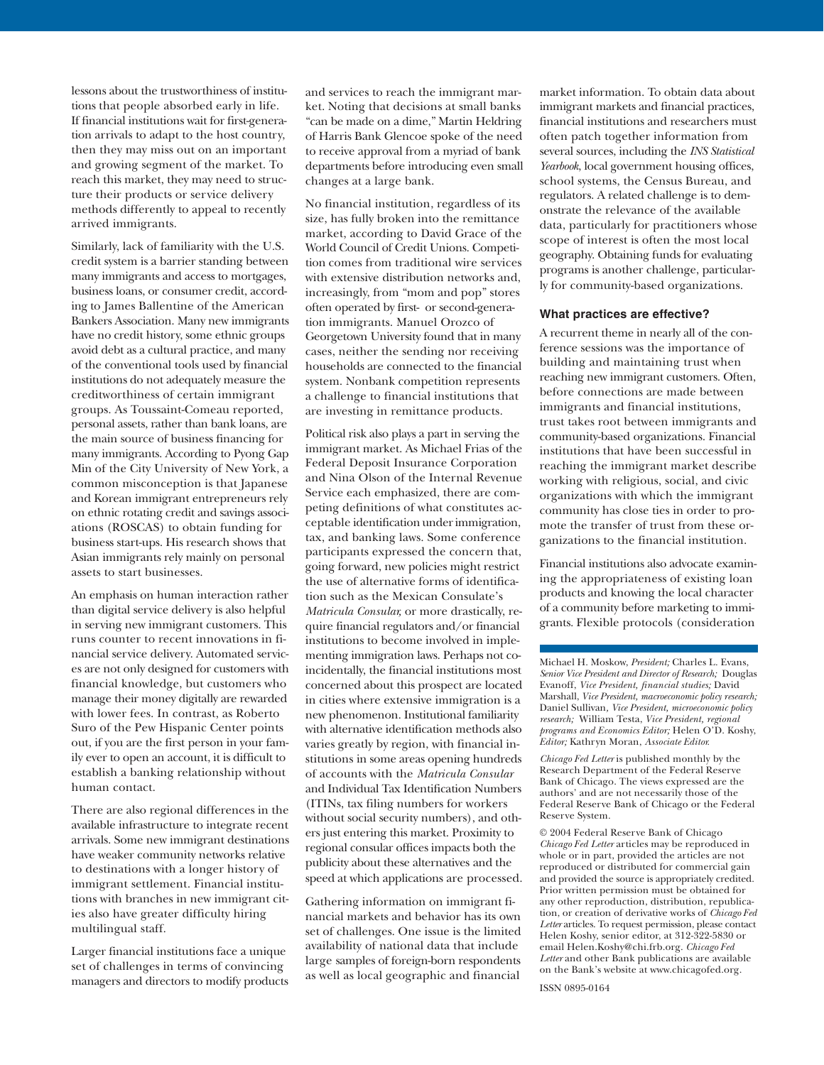lessons about the trustworthiness of institutions that people absorbed early in life. If financial institutions wait for first-generation arrivals to adapt to the host country, then they may miss out on an important and growing segment of the market. To reach this market, they may need to structure their products or service delivery methods differently to appeal to recently arrived immigrants.

Similarly, lack of familiarity with the U.S. credit system is a barrier standing between many immigrants and access to mortgages, business loans, or consumer credit, according to James Ballentine of the American Bankers Association. Many new immigrants have no credit history, some ethnic groups avoid debt as a cultural practice, and many of the conventional tools used by financial institutions do not adequately measure the creditworthiness of certain immigrant groups. As Toussaint-Comeau reported, personal assets, rather than bank loans, are the main source of business financing for many immigrants. According to Pyong Gap Min of the City University of New York, a common misconception is that Japanese and Korean immigrant entrepreneurs rely on ethnic rotating credit and savings associations (ROSCAS) to obtain funding for business start-ups. His research shows that Asian immigrants rely mainly on personal assets to start businesses.

An emphasis on human interaction rather than digital service delivery is also helpful in serving new immigrant customers. This runs counter to recent innovations in financial service delivery. Automated services are not only designed for customers with financial knowledge, but customers who manage their money digitally are rewarded with lower fees. In contrast, as Roberto Suro of the Pew Hispanic Center points out, if you are the first person in your family ever to open an account, it is difficult to establish a banking relationship without human contact.

There are also regional differences in the available infrastructure to integrate recent arrivals. Some new immigrant destinations have weaker community networks relative to destinations with a longer history of immigrant settlement. Financial institutions with branches in new immigrant cities also have greater difficulty hiring multilingual staff.

Larger financial institutions face a unique set of challenges in terms of convincing managers and directors to modify products and services to reach the immigrant market. Noting that decisions at small banks "can be made on a dime," Martin Heldring of Harris Bank Glencoe spoke of the need to receive approval from a myriad of bank departments before introducing even small changes at a large bank.

No financial institution, regardless of its size, has fully broken into the remittance market, according to David Grace of the World Council of Credit Unions. Competition comes from traditional wire services with extensive distribution networks and, increasingly, from "mom and pop" stores often operated by first- or second-generation immigrants. Manuel Orozco of Georgetown University found that in many cases, neither the sending nor receiving households are connected to the financial system. Nonbank competition represents a challenge to financial institutions that are investing in remittance products.

Political risk also plays a part in serving the immigrant market. As Michael Frias of the Federal Deposit Insurance Corporation and Nina Olson of the Internal Revenue Service each emphasized, there are competing definitions of what constitutes acceptable identification under immigration, tax, and banking laws. Some conference participants expressed the concern that, going forward, new policies might restrict the use of alternative forms of identification such as the Mexican Consulate's *Matricula Consular,* or more drastically, require financial regulators and/or financial institutions to become involved in implementing immigration laws. Perhaps not coincidentally, the financial institutions most concerned about this prospect are located in cities where extensive immigration is a new phenomenon. Institutional familiarity with alternative identification methods also varies greatly by region, with financial institutions in some areas opening hundreds of accounts with the *Matricula Consular* and Individual Tax Identification Numbers (ITINs, tax filing numbers for workers without social security numbers), and others just entering this market. Proximity to regional consular offices impacts both the publicity about these alternatives and the speed at which applications are processed.

Gathering information on immigrant financial markets and behavior has its own set of challenges. One issue is the limited availability of national data that include large samples of foreign-born respondents as well as local geographic and financial market information. To obtain data about immigrant markets and financial practices, financial institutions and researchers must often patch together information from several sources, including the *INS Statistical Yearbook*, local government housing offices, school systems, the Census Bureau, and regulators. A related challenge is to demonstrate the relevance of the available data, particularly for practitioners whose scope of interest is often the most local geography. Obtaining funds for evaluating programs is another challenge, particularly for community-based organizations.

#### **What practices are effective?**

A recurrent theme in nearly all of the conference sessions was the importance of building and maintaining trust when reaching new immigrant customers. Often, before connections are made between immigrants and financial institutions, trust takes root between immigrants and community-based organizations. Financial institutions that have been successful in reaching the immigrant market describe working with religious, social, and civic organizations with which the immigrant community has close ties in order to promote the transfer of trust from these organizations to the financial institution.

Financial institutions also advocate examining the appropriateness of existing loan products and knowing the local character of a community before marketing to immigrants. Flexible protocols (consideration

Michael H. Moskow, *President;* Charles L. Evans, *Senior Vice President and Director of Research;* Douglas Evanoff, *Vice President, financial studies;* David Marshall, *Vice President, macroeconomic policy research;* Daniel Sullivan*, Vice President, microeconomic policy research;* William Testa, *Vice President, regional programs and Economics Editor;* Helen O'D. Koshy, *Editor;* Kathryn Moran, *Associate Editor.*

*Chicago Fed Letter* is published monthly by the Research Department of the Federal Reserve Bank of Chicago. The views expressed are the authors' and are not necessarily those of the Federal Reserve Bank of Chicago or the Federal Reserve System.

© 2004 Federal Reserve Bank of Chicago *Chicago Fed Letter* articles may be reproduced in whole or in part, provided the articles are not reproduced or distributed for commercial gain and provided the source is appropriately credited. Prior written permission must be obtained for any other reproduction, distribution, republication, or creation of derivative works of *Chicago Fed Letter* articles. To request permission, please contact Helen Koshy, senior editor, at 312-322-5830 or email Helen.Koshy@chi.frb.org. *Chicago Fed Letter* and other Bank publications are available on the Bank's website at www.chicagofed.org.

ISSN 0895-0164